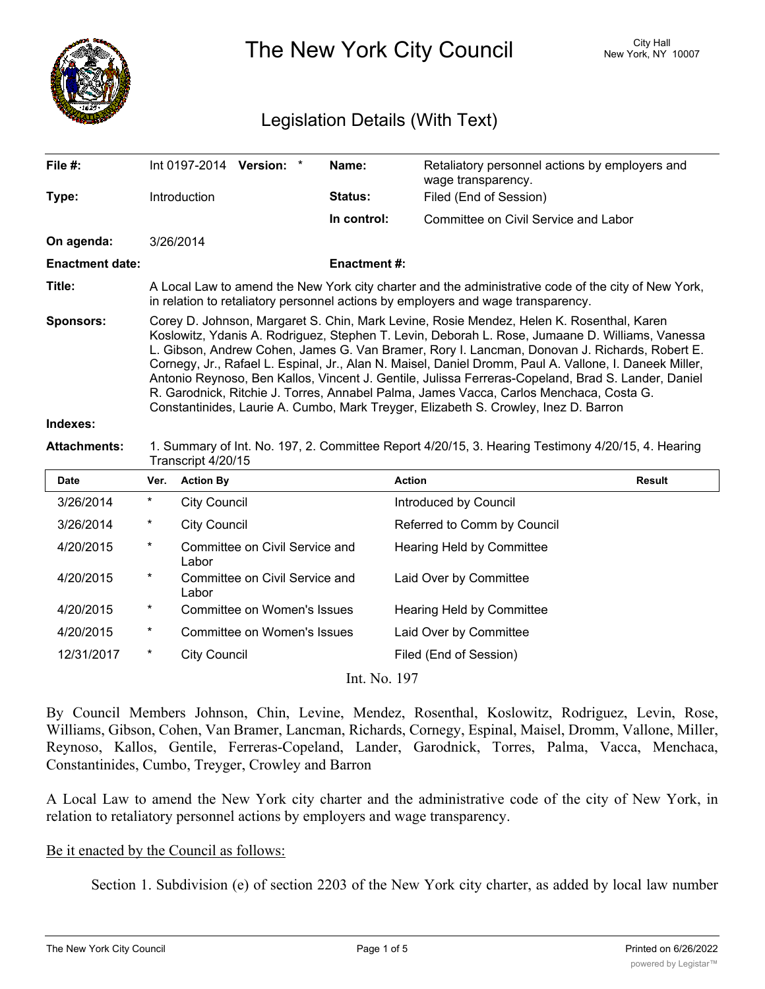

The New York City Council New York, NY 10007

# Legislation Details (With Text)

| File #:                | Int 0197-2014 Version: *                                                                                                                                                                                                                                                                                                                                                                                                                                                                                                                                                                                                                                                                      |  |  | Name:          | Retaliatory personnel actions by employers and<br>wage transparency. |  |  |
|------------------------|-----------------------------------------------------------------------------------------------------------------------------------------------------------------------------------------------------------------------------------------------------------------------------------------------------------------------------------------------------------------------------------------------------------------------------------------------------------------------------------------------------------------------------------------------------------------------------------------------------------------------------------------------------------------------------------------------|--|--|----------------|----------------------------------------------------------------------|--|--|
| Type:                  | <b>Introduction</b>                                                                                                                                                                                                                                                                                                                                                                                                                                                                                                                                                                                                                                                                           |  |  | <b>Status:</b> | Filed (End of Session)                                               |  |  |
|                        |                                                                                                                                                                                                                                                                                                                                                                                                                                                                                                                                                                                                                                                                                               |  |  | In control:    | Committee on Civil Service and Labor                                 |  |  |
| On agenda:             | 3/26/2014                                                                                                                                                                                                                                                                                                                                                                                                                                                                                                                                                                                                                                                                                     |  |  |                |                                                                      |  |  |
| <b>Enactment date:</b> | <b>Enactment #:</b>                                                                                                                                                                                                                                                                                                                                                                                                                                                                                                                                                                                                                                                                           |  |  |                |                                                                      |  |  |
| Title:                 | A Local Law to amend the New York city charter and the administrative code of the city of New York,<br>in relation to retaliatory personnel actions by employers and wage transparency.                                                                                                                                                                                                                                                                                                                                                                                                                                                                                                       |  |  |                |                                                                      |  |  |
| <b>Sponsors:</b>       | Corey D. Johnson, Margaret S. Chin, Mark Levine, Rosie Mendez, Helen K. Rosenthal, Karen<br>Koslowitz, Ydanis A. Rodriguez, Stephen T. Levin, Deborah L. Rose, Jumaane D. Williams, Vanessa<br>L. Gibson, Andrew Cohen, James G. Van Bramer, Rory I. Lancman, Donovan J. Richards, Robert E.<br>Cornegy, Jr., Rafael L. Espinal, Jr., Alan N. Maisel, Daniel Dromm, Paul A. Vallone, I. Daneek Miller,<br>Antonio Reynoso, Ben Kallos, Vincent J. Gentile, Julissa Ferreras-Copeland, Brad S. Lander, Daniel<br>R. Garodnick, Ritchie J. Torres, Annabel Palma, James Vacca, Carlos Menchaca, Costa G.<br>Constantinides, Laurie A. Cumbo, Mark Treyger, Elizabeth S. Crowley, Inez D. Barron |  |  |                |                                                                      |  |  |
| Indovae:               |                                                                                                                                                                                                                                                                                                                                                                                                                                                                                                                                                                                                                                                                                               |  |  |                |                                                                      |  |  |

#### **Indexes:**

### **Attachments:** 1. Summary of Int. No. 197, 2. Committee Report 4/20/15, 3. Hearing Testimony 4/20/15, 4. Hearing Transcript 4/20/15

| <b>Date</b> | Ver.     | <b>Action By</b>                        | <b>Action</b>               | Result |
|-------------|----------|-----------------------------------------|-----------------------------|--------|
| 3/26/2014   | $\ast$   | <b>City Council</b>                     | Introduced by Council       |        |
| 3/26/2014   | $^\star$ | <b>City Council</b>                     | Referred to Comm by Council |        |
| 4/20/2015   | $\ast$   | Committee on Civil Service and<br>Labor | Hearing Held by Committee   |        |
| 4/20/2015   | $\ast$   | Committee on Civil Service and<br>Labor | Laid Over by Committee      |        |
| 4/20/2015   | $\ast$   | Committee on Women's Issues             | Hearing Held by Committee   |        |
| 4/20/2015   | $^\star$ | Committee on Women's Issues             | Laid Over by Committee      |        |
| 12/31/2017  | $\ast$   | <b>City Council</b>                     | Filed (End of Session)      |        |

Int. No. 197

By Council Members Johnson, Chin, Levine, Mendez, Rosenthal, Koslowitz, Rodriguez, Levin, Rose, Williams, Gibson, Cohen, Van Bramer, Lancman, Richards, Cornegy, Espinal, Maisel, Dromm, Vallone, Miller, Reynoso, Kallos, Gentile, Ferreras-Copeland, Lander, Garodnick, Torres, Palma, Vacca, Menchaca, Constantinides, Cumbo, Treyger, Crowley and Barron

A Local Law to amend the New York city charter and the administrative code of the city of New York, in relation to retaliatory personnel actions by employers and wage transparency.

#### Be it enacted by the Council as follows:

Section 1. Subdivision (e) of section 2203 of the New York city charter, as added by local law number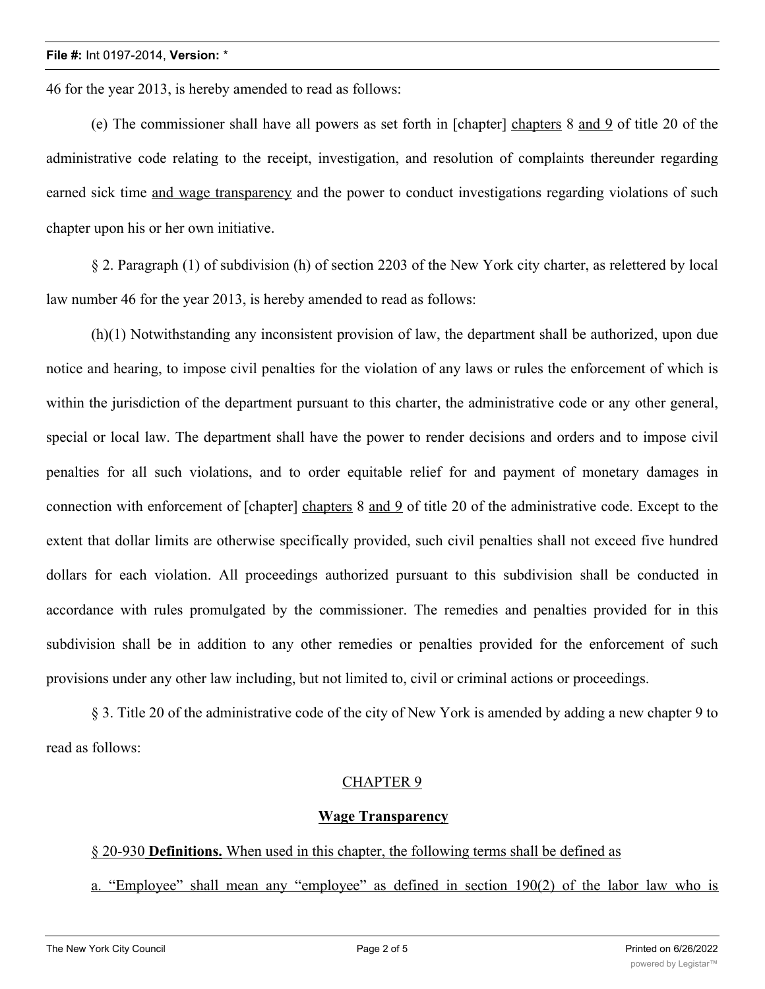46 for the year 2013, is hereby amended to read as follows:

(e) The commissioner shall have all powers as set forth in [chapter] chapters 8 and 9 of title 20 of the administrative code relating to the receipt, investigation, and resolution of complaints thereunder regarding earned sick time and wage transparency and the power to conduct investigations regarding violations of such chapter upon his or her own initiative.

§ 2. Paragraph (1) of subdivision (h) of section 2203 of the New York city charter, as relettered by local law number 46 for the year 2013, is hereby amended to read as follows:

(h)(1) Notwithstanding any inconsistent provision of law, the department shall be authorized, upon due notice and hearing, to impose civil penalties for the violation of any laws or rules the enforcement of which is within the jurisdiction of the department pursuant to this charter, the administrative code or any other general, special or local law. The department shall have the power to render decisions and orders and to impose civil penalties for all such violations, and to order equitable relief for and payment of monetary damages in connection with enforcement of [chapter] chapters 8 and 9 of title 20 of the administrative code. Except to the extent that dollar limits are otherwise specifically provided, such civil penalties shall not exceed five hundred dollars for each violation. All proceedings authorized pursuant to this subdivision shall be conducted in accordance with rules promulgated by the commissioner. The remedies and penalties provided for in this subdivision shall be in addition to any other remedies or penalties provided for the enforcement of such provisions under any other law including, but not limited to, civil or criminal actions or proceedings.

§ 3. Title 20 of the administrative code of the city of New York is amended by adding a new chapter 9 to read as follows:

# CHAPTER 9

#### **Wage Transparency**

# § 20-930 **Definitions.** When used in this chapter, the following terms shall be defined as

a. "Employee" shall mean any "employee" as defined in section 190(2) of the labor law who is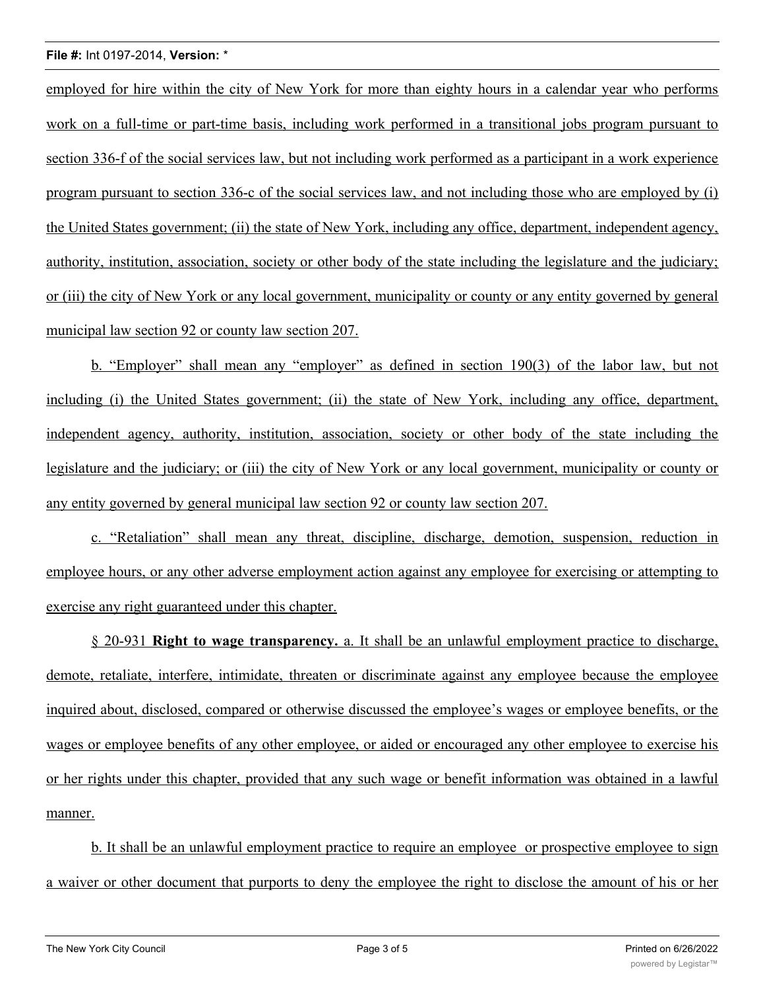employed for hire within the city of New York for more than eighty hours in a calendar year who performs work on a full-time or part-time basis, including work performed in a transitional jobs program pursuant to section 336-f of the social services law, but not including work performed as a participant in a work experience program pursuant to section 336-c of the social services law, and not including those who are employed by (i) the United States government; (ii) the state of New York, including any office, department, independent agency, authority, institution, association, society or other body of the state including the legislature and the judiciary; or (iii) the city of New York or any local government, municipality or county or any entity governed by general municipal law section 92 or county law section 207.

b. "Employer" shall mean any "employer" as defined in section 190(3) of the labor law, but not including (i) the United States government; (ii) the state of New York, including any office, department, independent agency, authority, institution, association, society or other body of the state including the legislature and the judiciary; or (iii) the city of New York or any local government, municipality or county or any entity governed by general municipal law section 92 or county law section 207.

c. "Retaliation" shall mean any threat, discipline, discharge, demotion, suspension, reduction in employee hours, or any other adverse employment action against any employee for exercising or attempting to exercise any right guaranteed under this chapter.

§ 20-931 **Right to wage transparency.** a. It shall be an unlawful employment practice to discharge, demote, retaliate, interfere, intimidate, threaten or discriminate against any employee because the employee inquired about, disclosed, compared or otherwise discussed the employee's wages or employee benefits, or the wages or employee benefits of any other employee, or aided or encouraged any other employee to exercise his or her rights under this chapter, provided that any such wage or benefit information was obtained in a lawful manner.

b. It shall be an unlawful employment practice to require an employee or prospective employee to sign a waiver or other document that purports to deny the employee the right to disclose the amount of his or her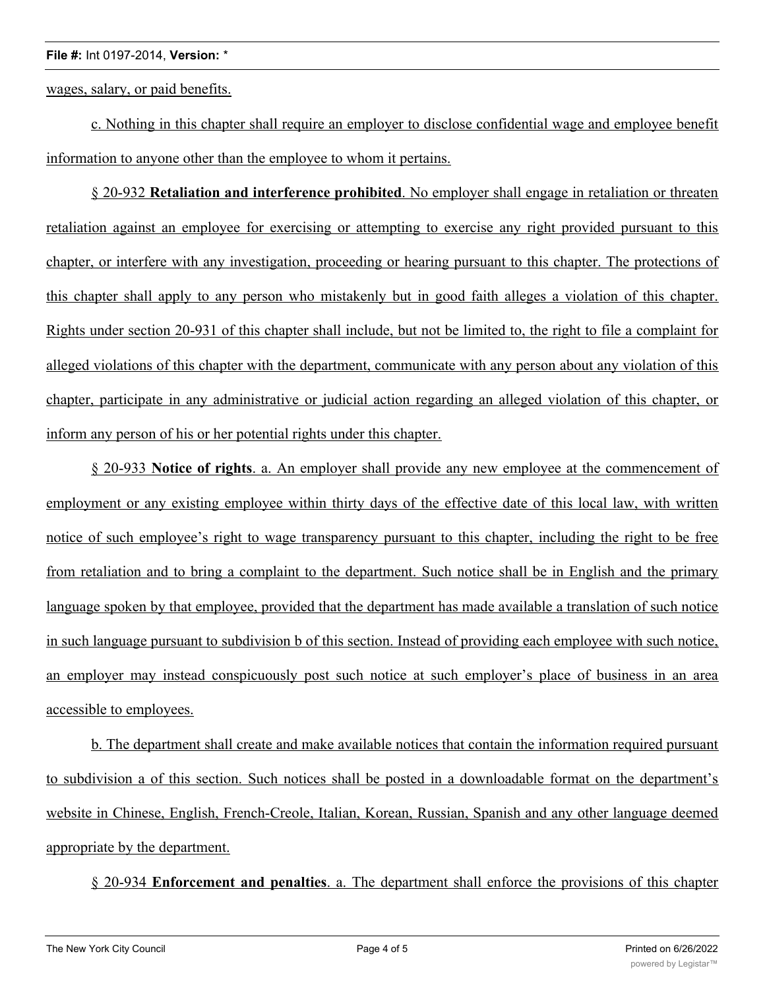wages, salary, or paid benefits.

c. Nothing in this chapter shall require an employer to disclose confidential wage and employee benefit information to anyone other than the employee to whom it pertains.

§ 20-932 **Retaliation and interference prohibited**. No employer shall engage in retaliation or threaten retaliation against an employee for exercising or attempting to exercise any right provided pursuant to this chapter, or interfere with any investigation, proceeding or hearing pursuant to this chapter. The protections of this chapter shall apply to any person who mistakenly but in good faith alleges a violation of this chapter. Rights under section 20-931 of this chapter shall include, but not be limited to, the right to file a complaint for alleged violations of this chapter with the department, communicate with any person about any violation of this chapter, participate in any administrative or judicial action regarding an alleged violation of this chapter, or inform any person of his or her potential rights under this chapter.

§ 20-933 **Notice of rights**. a. An employer shall provide any new employee at the commencement of employment or any existing employee within thirty days of the effective date of this local law, with written notice of such employee's right to wage transparency pursuant to this chapter, including the right to be free from retaliation and to bring a complaint to the department. Such notice shall be in English and the primary language spoken by that employee, provided that the department has made available a translation of such notice in such language pursuant to subdivision b of this section. Instead of providing each employee with such notice, an employer may instead conspicuously post such notice at such employer's place of business in an area accessible to employees.

b. The department shall create and make available notices that contain the information required pursuant to subdivision a of this section. Such notices shall be posted in a downloadable format on the department's website in Chinese, English, French-Creole, Italian, Korean, Russian, Spanish and any other language deemed appropriate by the department.

§ 20-934 **Enforcement and penalties**. a. The department shall enforce the provisions of this chapter